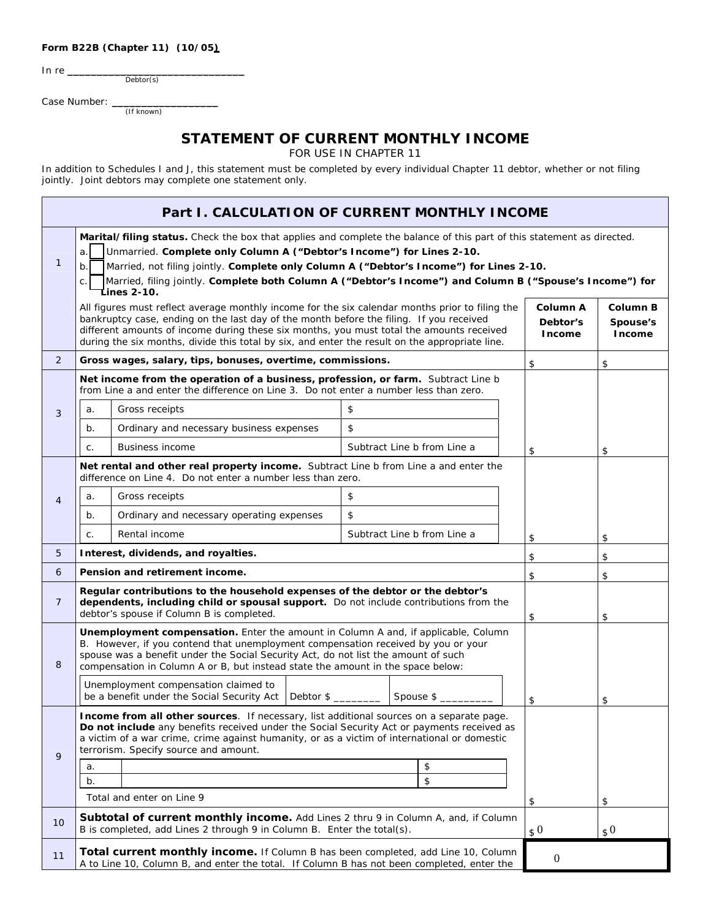## **Form B22B (Chapter 11) (10/05)**

In re $\_\_$ 

Debtor(s)

Case Number: \_\_\_\_\_\_\_\_\_\_\_\_\_\_\_\_\_\_ (If known)

## **STATEMENT OF CURRENT MONTHLY INCOME**

FOR USE IN CHAPTER 11

In addition to Schedules I and J, this statement must be completed by every individual Chapter 11 debtor, whether or not filing jointly. Joint debtors may complete one statement only.

| Part I. CALCULATION OF CURRENT MONTHLY INCOME |                                                                                                                                                                                                                                                                                                                                                                                                                                                |                                                                                                                                                                                                                                                                                                                                                                                          |                             |          |                                       |                                |  |
|-----------------------------------------------|------------------------------------------------------------------------------------------------------------------------------------------------------------------------------------------------------------------------------------------------------------------------------------------------------------------------------------------------------------------------------------------------------------------------------------------------|------------------------------------------------------------------------------------------------------------------------------------------------------------------------------------------------------------------------------------------------------------------------------------------------------------------------------------------------------------------------------------------|-----------------------------|----------|---------------------------------------|--------------------------------|--|
| 1                                             | Marital/filing status. Check the box that applies and complete the balance of this part of this statement as directed.<br>Unmarried. Complete only Column A ("Debtor's Income") for Lines 2-10.<br>a.<br>Married, not filing jointly. Complete only Column A ("Debtor's Income") for Lines 2-10.<br>b.<br>Married, filing jointly. Complete both Column A ("Debtor's Income") and Column B ("Spouse's Income") for<br>C.<br><b>Lines 2-10.</b> |                                                                                                                                                                                                                                                                                                                                                                                          |                             |          |                                       |                                |  |
|                                               |                                                                                                                                                                                                                                                                                                                                                                                                                                                | All figures must reflect average monthly income for the six calendar months prior to filing the<br>bankruptcy case, ending on the last day of the month before the filing. If you received<br>different amounts of income during these six months, you must total the amounts received<br>during the six months, divide this total by six, and enter the result on the appropriate line. |                             |          | Column A<br>Debtor's<br><b>Income</b> | Column B<br>Spouse's<br>Income |  |
| $\overline{2}$                                |                                                                                                                                                                                                                                                                                                                                                                                                                                                | Gross wages, salary, tips, bonuses, overtime, commissions.                                                                                                                                                                                                                                                                                                                               |                             |          | \$                                    | \$                             |  |
|                                               | Net income from the operation of a business, profession, or farm. Subtract Line b<br>from Line a and enter the difference on Line 3. Do not enter a number less than zero.                                                                                                                                                                                                                                                                     |                                                                                                                                                                                                                                                                                                                                                                                          |                             |          |                                       |                                |  |
| 3                                             | a.                                                                                                                                                                                                                                                                                                                                                                                                                                             | Gross receipts                                                                                                                                                                                                                                                                                                                                                                           | \$                          |          |                                       |                                |  |
|                                               | $b$ .                                                                                                                                                                                                                                                                                                                                                                                                                                          | Ordinary and necessary business expenses                                                                                                                                                                                                                                                                                                                                                 | \$                          |          |                                       |                                |  |
|                                               | C.                                                                                                                                                                                                                                                                                                                                                                                                                                             | <b>Business income</b>                                                                                                                                                                                                                                                                                                                                                                   | Subtract Line b from Line a |          | \$                                    | \$                             |  |
|                                               | Net rental and other real property income. Subtract Line b from Line a and enter the<br>difference on Line 4. Do not enter a number less than zero.                                                                                                                                                                                                                                                                                            |                                                                                                                                                                                                                                                                                                                                                                                          |                             |          |                                       |                                |  |
| $\overline{4}$                                | a.                                                                                                                                                                                                                                                                                                                                                                                                                                             | Gross receipts                                                                                                                                                                                                                                                                                                                                                                           | \$                          |          |                                       |                                |  |
|                                               | $b$ .                                                                                                                                                                                                                                                                                                                                                                                                                                          | Ordinary and necessary operating expenses                                                                                                                                                                                                                                                                                                                                                | \$                          |          |                                       |                                |  |
|                                               | C.                                                                                                                                                                                                                                                                                                                                                                                                                                             | Rental income                                                                                                                                                                                                                                                                                                                                                                            | Subtract Line b from Line a |          | \$                                    | \$                             |  |
| 5                                             |                                                                                                                                                                                                                                                                                                                                                                                                                                                | Interest, dividends, and royalties.                                                                                                                                                                                                                                                                                                                                                      |                             |          | \$                                    | \$                             |  |
| 6                                             |                                                                                                                                                                                                                                                                                                                                                                                                                                                | Pension and retirement income.                                                                                                                                                                                                                                                                                                                                                           |                             |          | \$                                    | \$                             |  |
| $\overline{7}$                                | Regular contributions to the household expenses of the debtor or the debtor's<br>dependents, including child or spousal support. Do not include contributions from the<br>debtor's spouse if Column B is completed.                                                                                                                                                                                                                            |                                                                                                                                                                                                                                                                                                                                                                                          |                             |          | \$                                    | \$                             |  |
| 8                                             | Unemployment compensation. Enter the amount in Column A and, if applicable, Column<br>B. However, if you contend that unemployment compensation received by you or your<br>spouse was a benefit under the Social Security Act, do not list the amount of such<br>compensation in Column A or B, but instead state the amount in the space below:                                                                                               |                                                                                                                                                                                                                                                                                                                                                                                          |                             |          |                                       |                                |  |
|                                               |                                                                                                                                                                                                                                                                                                                                                                                                                                                | Unemployment compensation claimed to<br>Debtor $\frac{1}{2}$<br>be a benefit under the Social Security Act<br>Spouse \$                                                                                                                                                                                                                                                                  |                             |          | \$                                    | \$                             |  |
| 9                                             | Income from all other sources. If necessary, list additional sources on a separate page.<br>Do not include any benefits received under the Social Security Act or payments received as<br>a victim of a war crime, crime against humanity, or as a victim of international or domestic<br>terrorism. Specify source and amount.                                                                                                                |                                                                                                                                                                                                                                                                                                                                                                                          |                             |          |                                       |                                |  |
|                                               | a.<br>b.                                                                                                                                                                                                                                                                                                                                                                                                                                       |                                                                                                                                                                                                                                                                                                                                                                                          |                             | \$<br>\$ |                                       |                                |  |
|                                               |                                                                                                                                                                                                                                                                                                                                                                                                                                                | Total and enter on Line 9                                                                                                                                                                                                                                                                                                                                                                |                             |          | \$                                    | \$                             |  |
|                                               |                                                                                                                                                                                                                                                                                                                                                                                                                                                | <b>Subtotal of current monthly income.</b> Add Lines 2 thru 9 in Column A, and, if Column                                                                                                                                                                                                                                                                                                |                             |          |                                       |                                |  |
| 10                                            | B is completed, add Lines 2 through 9 in Column B. Enter the total(s).<br>$\Omega$<br>$\Omega$                                                                                                                                                                                                                                                                                                                                                 |                                                                                                                                                                                                                                                                                                                                                                                          |                             |          |                                       |                                |  |
| 11                                            |                                                                                                                                                                                                                                                                                                                                                                                                                                                | Total current monthly income. If Column B has been completed, add Line 10, Column<br>$\boldsymbol{0}$<br>A to Line 10, Column B, and enter the total. If Column B has not been completed, enter the                                                                                                                                                                                      |                             |          |                                       |                                |  |